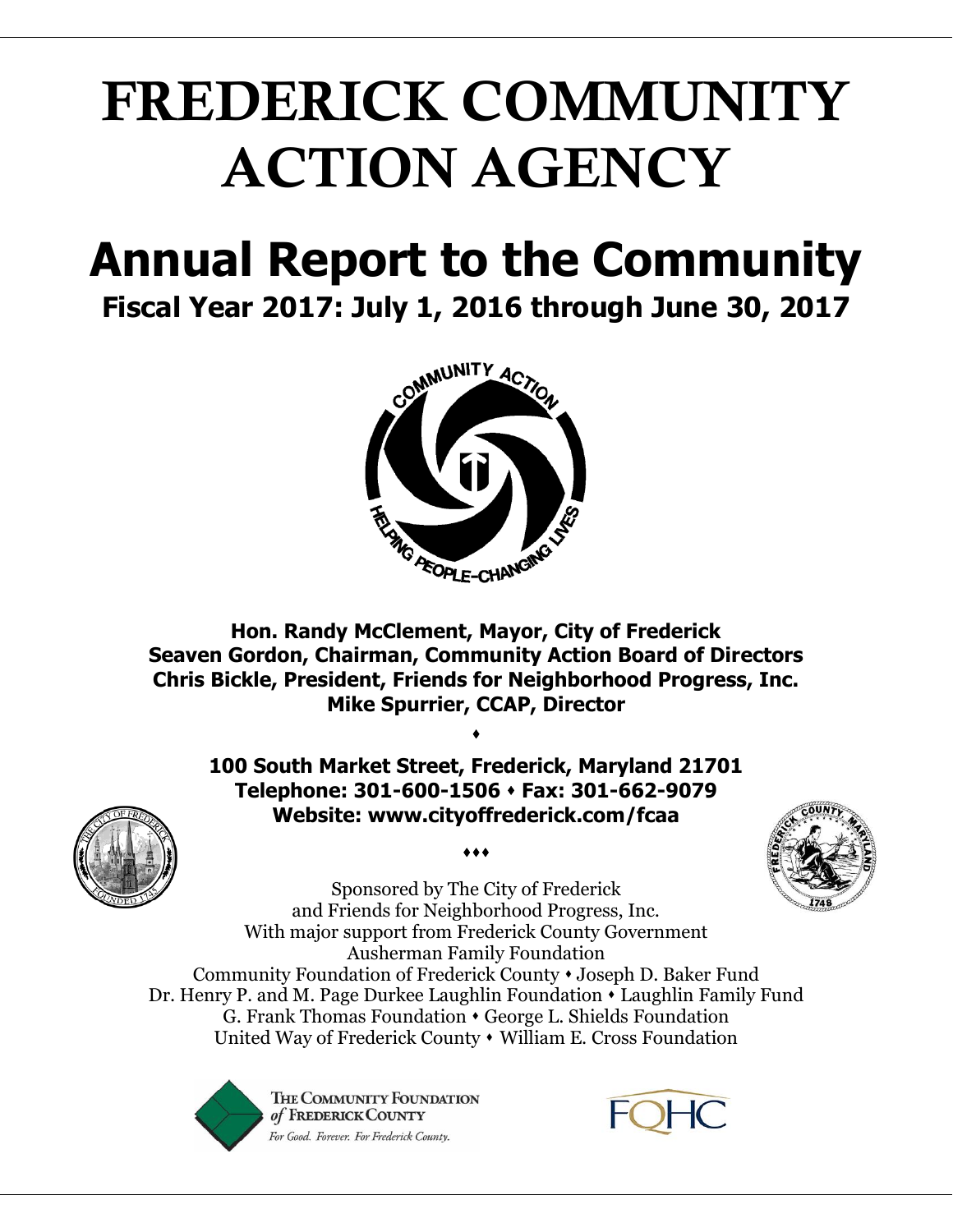# **FREDERICK COMMUNITY ACTION AGENCY**

### **Annual Report to the Community Fiscal Year 2017: July 1, 2016 through June 30, 2017**



**Hon. Randy McClement, Mayor, City of Frederick Seaven Gordon, Chairman, Community Action Board of Directors Chris Bickle, President, Friends for Neighborhood Progress, Inc. Mike Spurrier, CCAP, Director**

**100 South Market Street, Frederick, Maryland 21701 Telephone: 301-600-1506 Fax: 301-662-9079 Website: www.cityoffrederick.com/fcaa**

 $\bullet\bullet\bullet$ 

 $\blacklozenge$ 



Sponsored by The City of Frederick and Friends for Neighborhood Progress, Inc. With major support from Frederick County Government Ausherman Family Foundation Community Foundation of Frederick County Joseph D. Baker Fund Dr. Henry P. and M. Page Durkee Laughlin Foundation Laughlin Family Fund G. Frank Thomas Foundation George L. Shields Foundation United Way of Frederick County • William E. Cross Foundation



THE COMMUNITY FOUNDATION of FREDERICK COUNTY For Good. Forever. For Frederick County.

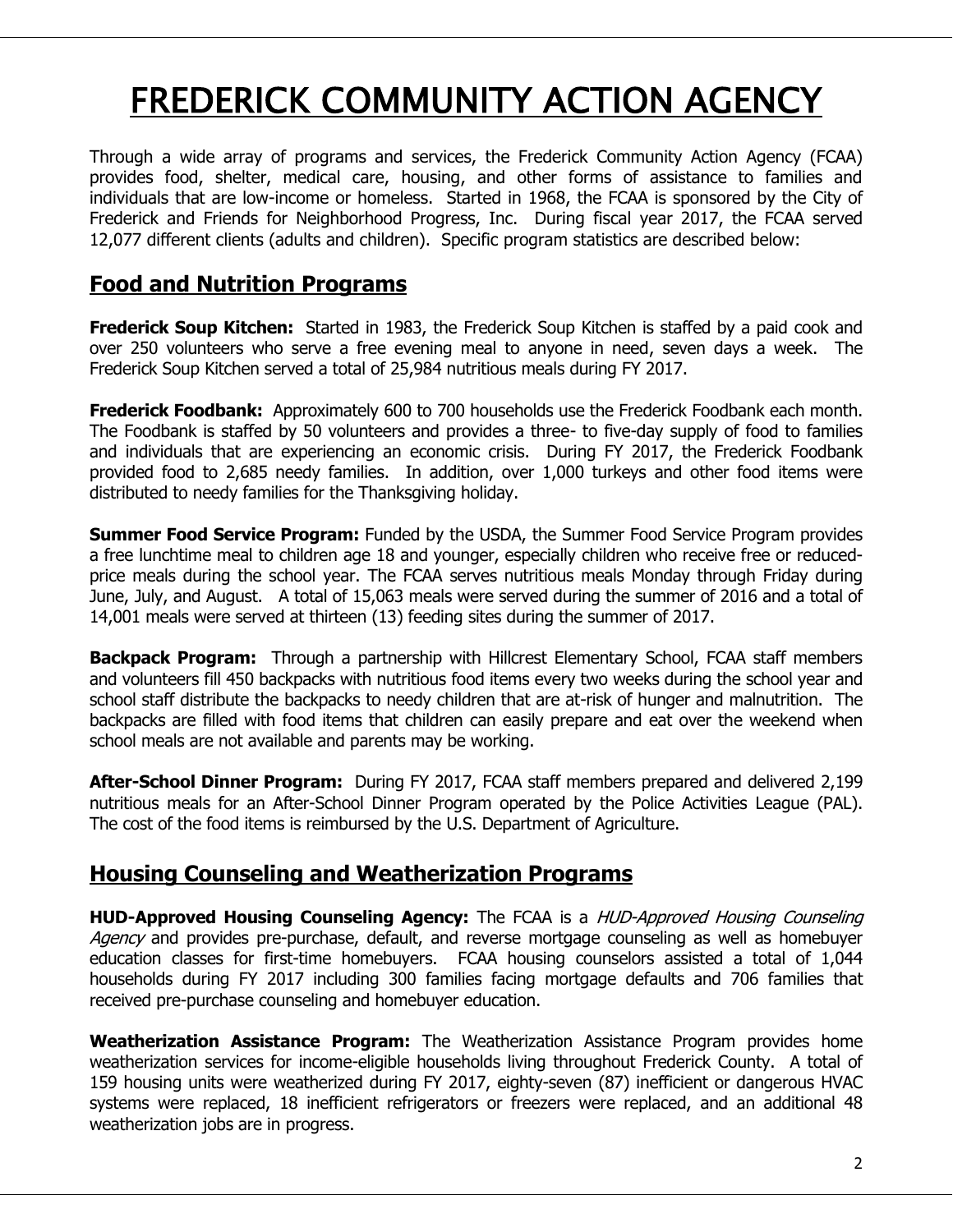## FREDERICK COMMUNITY ACTION AGENCY

Through a wide array of programs and services, the Frederick Community Action Agency (FCAA) provides food, shelter, medical care, housing, and other forms of assistance to families and individuals that are low-income or homeless. Started in 1968, the FCAA is sponsored by the City of Frederick and Friends for Neighborhood Progress, Inc. During fiscal year 2017, the FCAA served 12,077 different clients (adults and children). Specific program statistics are described below:

#### **Food and Nutrition Programs**

**Frederick Soup Kitchen:** Started in 1983, the Frederick Soup Kitchen is staffed by a paid cook and over 250 volunteers who serve a free evening meal to anyone in need, seven days a week. The Frederick Soup Kitchen served a total of 25,984 nutritious meals during FY 2017.

**Frederick Foodbank:** Approximately 600 to 700 households use the Frederick Foodbank each month. The Foodbank is staffed by 50 volunteers and provides a three- to five-day supply of food to families and individuals that are experiencing an economic crisis. During FY 2017, the Frederick Foodbank provided food to 2,685 needy families. In addition, over 1,000 turkeys and other food items were distributed to needy families for the Thanksgiving holiday.

**Summer Food Service Program:** Funded by the USDA, the Summer Food Service Program provides a free lunchtime meal to children age 18 and younger, especially children who receive free or reducedprice meals during the school year. The FCAA serves nutritious meals Monday through Friday during June, July, and August. A total of 15,063 meals were served during the summer of 2016 and a total of 14,001 meals were served at thirteen (13) feeding sites during the summer of 2017.

**Backpack Program:** Through a partnership with Hillcrest Elementary School, FCAA staff members and volunteers fill 450 backpacks with nutritious food items every two weeks during the school year and school staff distribute the backpacks to needy children that are at-risk of hunger and malnutrition. The backpacks are filled with food items that children can easily prepare and eat over the weekend when school meals are not available and parents may be working.

**After-School Dinner Program:** During FY 2017, FCAA staff members prepared and delivered 2,199 nutritious meals for an After-School Dinner Program operated by the Police Activities League (PAL). The cost of the food items is reimbursed by the U.S. Department of Agriculture.

#### **Housing Counseling and Weatherization Programs**

**HUD-Approved Housing Counseling Agency:** The FCAA is a HUD-Approved Housing Counseling Agency and provides pre-purchase, default, and reverse mortgage counseling as well as homebuyer education classes for first-time homebuyers. FCAA housing counselors assisted a total of 1,044 households during FY 2017 including 300 families facing mortgage defaults and 706 families that received pre-purchase counseling and homebuyer education.

**Weatherization Assistance Program:** The Weatherization Assistance Program provides home weatherization services for income-eligible households living throughout Frederick County. A total of 159 housing units were weatherized during FY 2017, eighty-seven (87) inefficient or dangerous HVAC systems were replaced, 18 inefficient refrigerators or freezers were replaced, and an additional 48 weatherization jobs are in progress.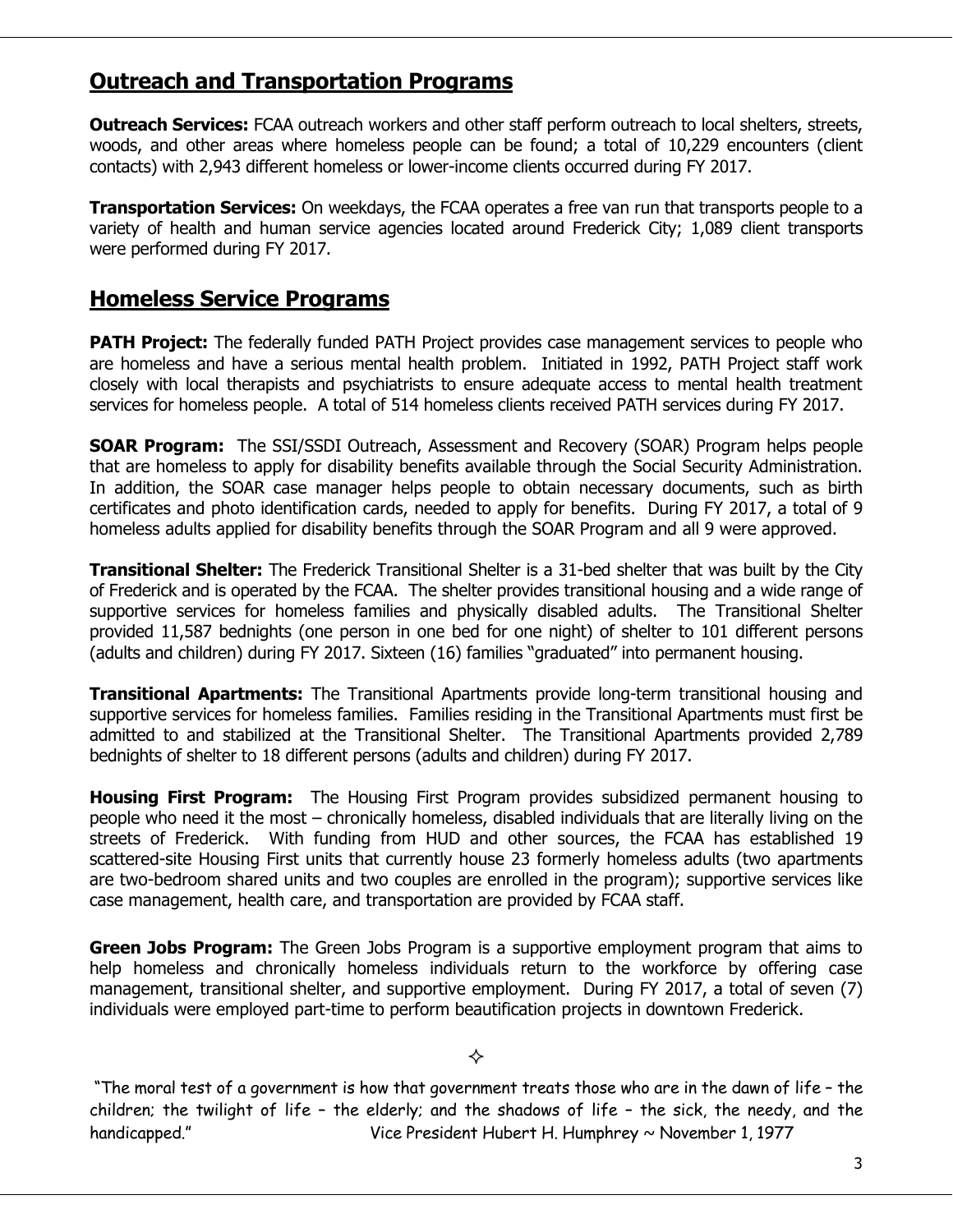#### **Outreach and Transportation Programs**

**Outreach Services:** FCAA outreach workers and other staff perform outreach to local shelters, streets, woods, and other areas where homeless people can be found; a total of 10,229 encounters (client contacts) with 2,943 different homeless or lower-income clients occurred during FY 2017.

**Transportation Services:** On weekdays, the FCAA operates a free van run that transports people to a variety of health and human service agencies located around Frederick City; 1,089 client transports were performed during FY 2017.

#### **Homeless Service Programs**

**PATH Project:** The federally funded PATH Project provides case management services to people who are homeless and have a serious mental health problem. Initiated in 1992, PATH Project staff work closely with local therapists and psychiatrists to ensure adequate access to mental health treatment services for homeless people. A total of 514 homeless clients received PATH services during FY 2017.

**SOAR Program:** The SSI/SSDI Outreach, Assessment and Recovery (SOAR) Program helps people that are homeless to apply for disability benefits available through the Social Security Administration. In addition, the SOAR case manager helps people to obtain necessary documents, such as birth certificates and photo identification cards, needed to apply for benefits. During FY 2017, a total of 9 homeless adults applied for disability benefits through the SOAR Program and all 9 were approved.

**Transitional Shelter:** The Frederick Transitional Shelter is a 31-bed shelter that was built by the City of Frederick and is operated by the FCAA. The shelter provides transitional housing and a wide range of supportive services for homeless families and physically disabled adults. The Transitional Shelter provided 11,587 bednights (one person in one bed for one night) of shelter to 101 different persons (adults and children) during FY 2017. Sixteen (16) families "graduated" into permanent housing.

**Transitional Apartments:** The Transitional Apartments provide long-term transitional housing and supportive services for homeless families. Families residing in the Transitional Apartments must first be admitted to and stabilized at the Transitional Shelter. The Transitional Apartments provided 2,789 bednights of shelter to 18 different persons (adults and children) during FY 2017.

**Housing First Program:** The Housing First Program provides subsidized permanent housing to people who need it the most – chronically homeless, disabled individuals that are literally living on the streets of Frederick. With funding from HUD and other sources, the FCAA has established 19 scattered-site Housing First units that currently house 23 formerly homeless adults (two apartments are two-bedroom shared units and two couples are enrolled in the program); supportive services like case management, health care, and transportation are provided by FCAA staff.

**Green Jobs Program:** The Green Jobs Program is a supportive employment program that aims to help homeless and chronically homeless individuals return to the workforce by offering case management, transitional shelter, and supportive employment. During FY 2017, a total of seven (7) individuals were employed part-time to perform beautification projects in downtown Frederick.

#### ♦

"The moral test of a government is how that government treats those who are in the dawn of life – the children; the twilight of life – the elderly; and the shadows of life – the sick, the needy, and the handicapped." Vice President Hubert H. Humphrey ~ November 1, 1977